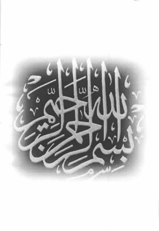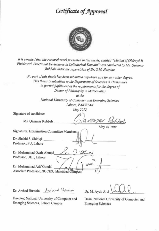## Certificate of Approval



It is certified that the research work presented in this thesis, entitled "Motion of Oldroyd-B Fluids with Fractional Derivatives in Cylinderical Domain" was conducted by Ms. Qammar Rubbab under the supervision of Dr. S.M. Husnine.

No part of this thesis has been submitted anywhere else for any other degree. This thesis is submitted to the Department of Sciences & Humanities in partial fulfillment of the requirements for the degree of Doctor of Philosophy in Mathematics

at the

National University of Computer and Emerging Sciences Lahore, PAKISTAN May 2012

Signature of candidate:

Ms. Qammar Rubbab

May 26, 2012

Signatures, Examination Committee Members:

Dr. Shahid S. Siddiqi Professor, PU, Lahore

Dr. Muhammad Ozair Ahmad Professor, UET, Lahore

Dr. Muhammad Asif Gondal Associate Professor, NUCES, Islamabad Campus

Dr. Arshad Hussain Aralued Hushes

Dr. M. Ayub Alv

Director, National University of Computer and Emerging Sciences, Lahore Campus

Dean, National University of Computer and **Emerging Sciences**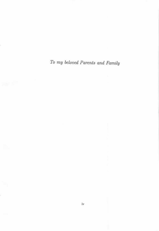To my beloved Parents and Family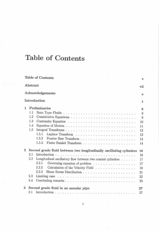# Table of Contents

|                |                                                                     | Table of Contents                                                         | v           |  |  |
|----------------|---------------------------------------------------------------------|---------------------------------------------------------------------------|-------------|--|--|
|                | Abstract                                                            |                                                                           | vii         |  |  |
|                |                                                                     | Acknowledgements                                                          | $\mathbf x$ |  |  |
|                |                                                                     | Introduction                                                              | 1           |  |  |
| ı.             | Preliminaries                                                       |                                                                           |             |  |  |
|                | 1.1                                                                 |                                                                           | 8<br>8      |  |  |
|                | 1.2                                                                 |                                                                           | 9           |  |  |
|                | 1.3                                                                 |                                                                           | 10          |  |  |
|                | 1.4                                                                 |                                                                           | 11          |  |  |
|                | 1.5                                                                 |                                                                           | 12          |  |  |
|                |                                                                     | 1.5.1                                                                     | 13          |  |  |
|                |                                                                     | 1.5.2                                                                     | 14          |  |  |
|                |                                                                     | 1.5.3                                                                     | 14          |  |  |
| $\overline{2}$ | Second grade fluid between two longitudinally oscillating cylinders |                                                                           |             |  |  |
|                | $2.1\,$                                                             |                                                                           | 16<br>16    |  |  |
|                | $2.2\,$                                                             | Longitudinal oscillatory flow between two coaxial cylinders $\dots \dots$ | 17          |  |  |
|                |                                                                     | 2.2.1<br>Governing equation of problem                                    | 17          |  |  |
|                |                                                                     | 2.2.2<br>Calculation of the Velocity Field                                | 19          |  |  |
|                |                                                                     | 2.2.3                                                                     | 21          |  |  |
|                | 2.3                                                                 |                                                                           | 22          |  |  |
|                | 2.4                                                                 |                                                                           | 23          |  |  |
| 3              |                                                                     | Second grade fluid in an annular pipe                                     | 27          |  |  |
|                |                                                                     |                                                                           | 27          |  |  |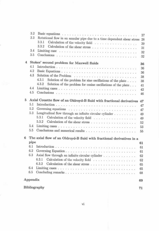|                | 3.2           | Basic equations research conservation of the conservation of the conservation of the conservation of the conservation of the conservation of the conservation of the conservation of the conservation of the conservation of t | 27 |  |
|----------------|---------------|--------------------------------------------------------------------------------------------------------------------------------------------------------------------------------------------------------------------------------|----|--|
|                | 3.3           | Rotational flow in an annular pipe due to a time dependent shear stress                                                                                                                                                        | 28 |  |
|                |               | 3.3.1<br>Calculation of the velocity field                                                                                                                                                                                     | 29 |  |
|                |               | 3.3.2                                                                                                                                                                                                                          | 31 |  |
|                | 3.4           |                                                                                                                                                                                                                                | 32 |  |
|                | 3.5           |                                                                                                                                                                                                                                | 32 |  |
|                |               |                                                                                                                                                                                                                                |    |  |
| $\overline{4}$ |               | Stokes' second problem for Maxwell fluids                                                                                                                                                                                      | 36 |  |
|                | 4.1           |                                                                                                                                                                                                                                | 36 |  |
|                | 4.2           |                                                                                                                                                                                                                                | 36 |  |
|                | 4.3           |                                                                                                                                                                                                                                | 38 |  |
|                |               | 4.3.1<br>Solution of the problem for sine oscillations of the plate                                                                                                                                                            | 38 |  |
|                |               | 4.3.2<br>Solution of the problem for cosine oscillations of the plate                                                                                                                                                          | 41 |  |
|                | 4.4           |                                                                                                                                                                                                                                | 42 |  |
|                |               |                                                                                                                                                                                                                                | 46 |  |
| 5              |               | Axial Couette flow of an Oldroyd-B fluid with fractional derivatives                                                                                                                                                           | 47 |  |
|                | 5.1           |                                                                                                                                                                                                                                | 47 |  |
|                | 5.2           |                                                                                                                                                                                                                                | 47 |  |
|                | 5.3           | Longitudinal flow through an infinite circular cylinder $\dots \dots \dots$                                                                                                                                                    | 49 |  |
|                |               | 5.3.1 Calculation of the velocity field                                                                                                                                                                                        | 49 |  |
|                |               | 5.3.2                                                                                                                                                                                                                          | 52 |  |
|                | 5.4           |                                                                                                                                                                                                                                |    |  |
|                | $5.5^{\circ}$ |                                                                                                                                                                                                                                | 53 |  |
|                |               |                                                                                                                                                                                                                                | 55 |  |
| 6              |               | The axial flow of an Oldroyd-B fluid with fractional derivatives in a                                                                                                                                                          |    |  |
|                | pipe          |                                                                                                                                                                                                                                | 61 |  |
|                | 6.1           |                                                                                                                                                                                                                                | 61 |  |
|                | 6.2           |                                                                                                                                                                                                                                | 61 |  |
|                | 6.3           | Axial flow through an infinite circular cylinder                                                                                                                                                                               | 62 |  |
|                |               | 6.3.1 Calculation of the velocity field                                                                                                                                                                                        | 62 |  |
|                |               | 6.3.2                                                                                                                                                                                                                          | 65 |  |
|                | 6.4           |                                                                                                                                                                                                                                | 65 |  |
|                | 6.5           |                                                                                                                                                                                                                                | 68 |  |
|                | Appendix      |                                                                                                                                                                                                                                | 69 |  |
|                |               |                                                                                                                                                                                                                                |    |  |
| Bibliography   |               |                                                                                                                                                                                                                                |    |  |
|                |               |                                                                                                                                                                                                                                |    |  |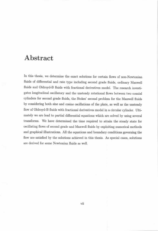## Abstract

In this thesis, we determine the exact solutions for certain flows of non-Newtonian fluids of differential and rate type including second grade fluids, ordinary Maxwell fluids and Oldroyd-B fluids with fractional derivatives model. The research investigates longitudinal oscillatory and the unsteady rotational flows between two coaxial cylinders for second grade fluids, the Stokes' second problem for the Maxwell fluids by considering both sine and cosine oscillations of the plate, as well as the unsteady flow of Oldroyd-B fluids with fractional derivatives model in a circular cylinder. Ultimately we are lead to partial differential equations which are solved by using several transforms. We have determined the time required to attain the steady state for oscillating flows of second grade and Maxwell fluids by exploiting numerical methods and graphical illustrations. All the equations and boundary conditions governing the flow are satisfied by the solutions achieved in this thesis. As special cases, solutions are derived for some Newtonian fluids as well.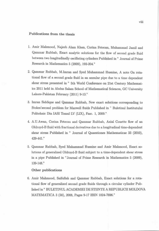#### Publications from the thesis

- 1. Amir Mahmood, Najeeb Alam Khan, Corina Fetecau, Muhammad Jamil and Qammar Rubbab, Exact analytic solutions for the flow of second grade fluid between two longitudinally oscillating cylinders Published in " Journal of Prime Research in Mathematics 5 (2009), 192-204."
- 2. Qammar Rubbab, M.Imran and Syed Muhammad Husnine, A note On rotational flow of a second grade fluid in an annular pipe due to a time dependent shear stress presented in " 5th World Conference on 21st Century Mathematics 2011 held in Abdus Salam School of Mathematical Sciences, GC University Lahore-Pakistan February (2011) 9-13."
- 3. Imran Siddique and Qammar Rubbab, New exact solutions corresponding to Stokes's econd problem for Maxwell fluids Published in " Buletinul Institutului Politehnic Din IASI Tomul LV (LIX), Fasc. 1, 2009."
- 4. A.U.Awan, Corina Fetecau and Qammar Rubbab, Axial Couette flow of an Oldroyd-B fluid with fractional derivatives due to a longitudinal time-dependent shear stress Published in " Journal of Quaestiones Mathematicae 33 (2010), 429-441."
- 5. Qammar Rubbab, Syed Muhammad Husnine and Amir Mahmood, Exact solutions of generalized Oldroyd-B fluid subject to a time-dependent shear stress in a pipe Published in "Journal of Prime Research in Mathematics 5 (2009), 139-148."

#### Other publications

6. Amir Mahmood, Saifullah and Qammar Rubbab, Exact solutions for a rotational flow of generalized second grade fluids through a circular cylinder Published in " BULETINUL ACADEMIEI DE STIINTE A REPUBLICII MOLDOVA MATEMATICA 3 (58), 2008, Pages 9-17 ISSN 1024-7696."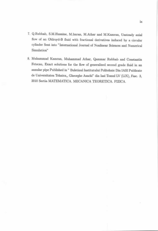- 7. Q.Rubbab, S.M.Husnine, M.Imran, M.Athar and M.Kamran, Unsteady axial flow of an Oldroyd-B fluid with fractional derivatives induced by a circular cylinder Sent into "International Journal of Nonlinear Sciences and Numerical Simulation"
- 8. Muhammad Kamran, Muhammad Athar, Qammar Rubbab and Constantin Fetecau, Exact solutions for the flow of generalized second grade fluid in an annular pipe Published in " Buletinul Institutului Politehnic Din IASI Publicate de Universitatea Tehnica,, Gheorghe Asachi" din Iasi Tomul LV (LIX), Fasc. 3, 2010 Sectia MATEMATICA. MECANICA TEORETICA. FIZICA.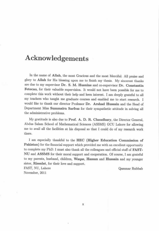## Acknowledgements

In the name of Allah, the most Gracious and the most Merciful. All praise and glory to Allah for His blessing upon me to finish my thesis. My sincerest thanks are due to my supervisor Dr. S. M. Husnine and co-supervisor Dr. Constantin Fetecau, for their valuable supervision. It would not have been possible for me to complete this work without their help and keen interest. I am deeply grateful to all my teachers who taught me graduate courses and enabled me to start research. I would like to thank our director Professor Dr. Arshad Hussain and the Head of Department Miss Summaira Sarfraz for their sympathetic attitude in solving all the administrative problems.

My gratitude is also due to Prof. A. D. R. Chaudhary, the Director General, Abdus Salam School of Mathematical Sciences (ASSMS) GCU Lahore for allowing me to avail all the facilities at his disposal so that I could do of my research work there.

I am especially thankful to the HEC (Higher Education Commission of Pakistan) for the financial support which provided me with an excellent opportunity to complete my PhD. I must also thank all the colleagues and official staff of **FAST**-NU and ASSMS for their moral support and cooperation. Of course, I am grateful to my parents, husband, children, Waqas, Hassan and Hussain and my younger sister, Rissalat, for their love and support.

FAST, NU, Lahore November, 2011

Qammar Rubbab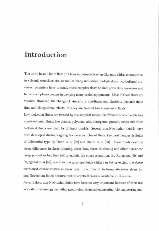## Introduction

The world faces a lot of flow problems in natural disasters like mud slides, snowstorms, in volcanic eruptions etc. as well as many industrial, biological and agricultural processes. Scientists have to study these complex flows to find preventive measures and to use such phenomenons in devising many useful equipments. Most of these flows are viscous. However, the change of viscosity is non-linear and elasticity depends upon time and elongational effects. So they are treated like viscoelastic fluids.

Low molecular fluids are treated by the simplest model like Navier-Stokes models but non-Newtonian fluids like plastic, polymers, oils, detergents, greases, soaps and other biological fluids are dealt by different models. Several non-Newtonian models have been developed during forgoing few decades. One of them, the most famous, is fluids of differential type by Dunn  $et$  al  $[22]$  and Rivlin  $et$  al  $[63]$ . These fluids describe stress differences in shear thinning, shear flow, shear thickening and other non-linear creep properties but they fail to explain the stress relaxation. By Rajagopal [60] and Rajagopal et al [62], one finds the rate-type fluids which can better explain the above mentioned characteristics in shear flow. It is difficult to formulate shear stress for non-Newtonian fluids because little theoretical work is available in this area.

Nevertheless, non-Newtonian fluids have become very important because of their use in modern technology including geophysics, chemical engineering, bio-engineering and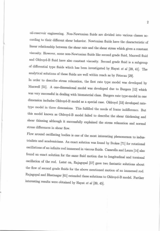oil-reservoir engineering. Non-Newtonian fluids are divided into various classes according to their different shear behavior. Newtonian fluids have the characteristic of linear relationship between the shear rate and the shear stress which gives a constant viscosity. However, some non-Newtonian fluids like second grade fluid, Maxwell fluid and Oldroyd-B fluid have also constant viscosity. Second grade fluid is a subgroup of differential type fluids which has been investigated by Hayat et al [39, 41]. The analytical solutions of these fluids are well within reach as by Fetecau [29].

In order to describe stress relaxation, the first rate type model was developed by Maxwell [51]. A one-dimensional model was developed due to Burgers [12] which was very successful in dealing with biomaterial class. Burgers rate type-model in one dimension includes Oldroyd-B model as a special case. Oldroyd [53] developed ratetype model in three dimensions. This fulfilled the needs of frame indifference. But this model known as Oldroyd-B model failed to describe the shear thickening and shear thinning although it successfully explained the stress relaxation and normal stress differences in shear flow.

Flow around oscillating bodies is one of the most interesting phenomenon to industrialists and academicians. An exact solution was found by Stokes [71] for rotational oscillations of an infinite rod immersed in viscous fluids. Casarella and Laura [14] also found an exact solution for the same fluid motion due to longitudinal and torsional oscillation of the rod. Later on, Rajagopal [57] gave two fantastic solutions about the flow of second grade fluids for the above mentioned motion of an immersed rod. Rajagopal and Bhatnagar [61] extended these solutions to Oldroyd-B model. Further interesting results were obtained by Hayat et al [39, 45].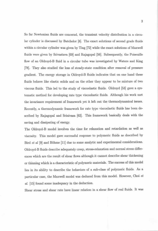So far Newtonian fluids are concernd, the transient velocity distribution in a circular cylinder is discussed by Batchelor [8]. The exact solutions of second grade fluids within a circular cylinder was given by Ting [72] while the exact solutions of Maxwell fluids were given by Srivastava [69] and Rajagopal [56]. Subsequently, the Poiseuille flow of an Oldroyd-B fluid in a circular tube was investigated by Waters and King [78]. They also studied the loss of steady-state condition after removal of pressure gradient. The energy storage in Oldroyd-B fluids indicates that on one hand these fluids behave like elastic solids and on the other they appear to be mixture of two viscous fluids. This led to the study of viscoelastic fluids. Oldroyd [53] gave a systematic method for developing rate type viscoelastic fluids. Although his work met the invariance requirement of framework yet it left out the thermodynamical issues. Recently, a thermodynamic framework for rate type viscoelastic fluids has been described by Rajagopal and Srinivasa [62]. This framework basically deals with the saving and dissipating of energy.

The Oldroyd-B model involves the time for relaxation and retardation as well as viscosity. This model gave successful response to polymeric fluids as described by Bird et al [9] and Böhme [11] due to some analytic and experimental considerations. Oldroyd-B fluids describe adequately creep, stress-relaxation and normal stress differences which are the result of shear flows although it cannot describe shear thickening or thinning which is a characteristic of polymeric materials. The success of this model lies in its ability to describe the behaviors of a sub-class of polymeric fluids. As a particular case, the Maxwell model was deduced from this model. However, Choi et al. [15] found some inadequacy in the deduction.

Shear stress and shear rate have linear relation in a shear flow of real fluids. It was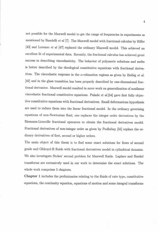not possible for the Maxwell model to get the range of frequencies in experiments as mentioned by Bandelli et al [7]. The Maxwell model with fractional calculus by Hilfer [43] and Lorenzo et al [47] replaced the ordinary Maxwell model. This achieved an excellent fit of experimental data. Recently, the fractional calculus has achieved great success in describing viscoelasticity. The behavior of polymeric solutions and melts is better described by the rheological constitutive equations with fractional derivatives. The viscoelastic response in the  $\alpha$ -relaxation regions as given by Heibig et al. [42] and in the glass transition has been properly described by one-dimensional fractional derivative. Maxwell model resulted in more work on generalization of nonlinear viscoelastic fractional constitutive equations. Palade et al.[54] gave first fully objective constitutive equations with fractional derivatives. Small deformations hypothesis are used to reduce them into the linear fractional model. In the ordinary governing equations of non-Newtonian fluid, one replaces the integer order derivatives by the Riemann-Liouville fractional operators to obtain the fractional derivatives model. Fractional derivatives of non-integer order as given by Podlubny [55] replace the ordinary derivatives of first, second or higher orders.

The main object of this thesis is to find some exact solutions for flows of second grade and Oldroyd-B fluids with fractional derivatives model in cylindrical domains. We also investigate Stokes' second problem for Maxwell fluids. Laplace and Hankel transforms are extensively used in our work to determine the exact solutions. The whole work comprises 5 chapters.

Chapter 1 includes the preliminaries relating to the fluids of rate type, constitutive equations, the continuity equation, equations of motion and some integral transforms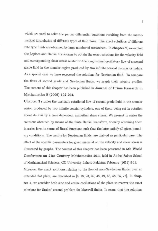which are used to solve the partial differential equations resulting from the mathematical formulation of different types of fluid flows. The exact solutions of different rate type fluids are obtained by large number of researchers. In chapter 2, we exploit the Laplace and Hankel transforms to obtain the exact solutions for the velocity field and corresponding shear stress related to the longitudinal oscillatory flow of a second grade fluid in the annular region produced by two infinite coaxial circular cylinders. As a special case we have recovered the solutions for Newtonian fluid. To compare the flows of second grade and Newtonian fluids, we graph their velocity profiles. The content of this chapter has been published in Journal of Prime Research in Mathematics 5 (2009) 192-204.

Chapter 3 studies the unsteady rotational flow of second grade fluid in the annular region produced by two infinite coaxial cylinders, one of them being set in rotation about its axis by a time dependent azimuthal shear stress. We present in series the solutions obtained by means of the finite Hankel transform, thereby obtaining them in series form in terms of Bessel functions such that the later satisfy all given boundary conditions. The results for Newtonian fluids, are derived as particular case. The effect of the specific parameters for given material on the velocity and shear stress is illustrated by graphs. The content of this chapter has been presented in 5th World Conference on 21st Century Mathematics 2011 held in Abdus Salam School of Mathematical Sciences, GC University Lahore-Pakistan February (2011) 9-13.

Moreover the exact solutions relating to the flow of non-Newtonian fluids, over an extended flat plate, are described in [6, 18, 23, 32, 48, 49, 56, 58, 65, 77]. In chapter 4, we consider both sine and cosine oscillations of the plate to recover the exact solutions for Stokes' second problem for Maxwell fluids. It seems that the solutions